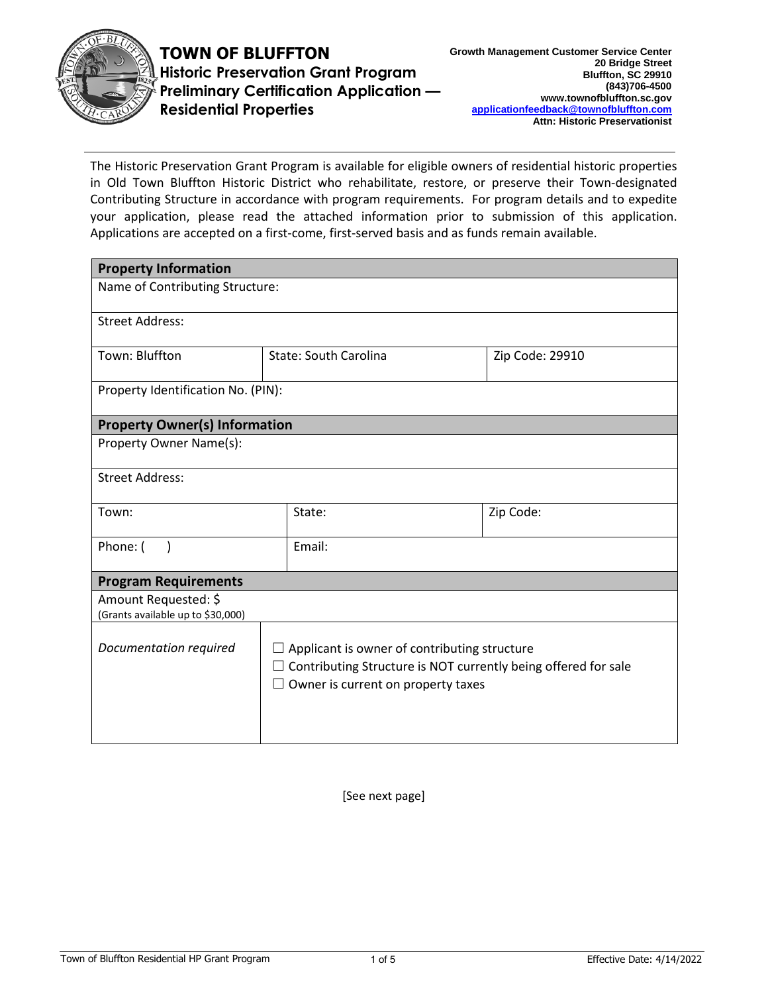

**TOWN OF BLUFFTON Historic Preservation Grant Program Preliminary Certification Application — Residential Properties**

The Historic Preservation Grant Program is available for eligible owners of residential historic properties in Old Town Bluffton Historic District who rehabilitate, restore, or preserve their Town-designated Contributing Structure in accordance with program requirements. For program details and to expedite your application, please read the attached information prior to submission of this application. Applications are accepted on a first-come, first-served basis and as funds remain available.

| <b>Property Information</b>                               |                                                                                                                                                                           |  |                 |  |  |
|-----------------------------------------------------------|---------------------------------------------------------------------------------------------------------------------------------------------------------------------------|--|-----------------|--|--|
| Name of Contributing Structure:                           |                                                                                                                                                                           |  |                 |  |  |
| <b>Street Address:</b>                                    |                                                                                                                                                                           |  |                 |  |  |
| Town: Bluffton                                            | <b>State: South Carolina</b>                                                                                                                                              |  | Zip Code: 29910 |  |  |
| Property Identification No. (PIN):                        |                                                                                                                                                                           |  |                 |  |  |
| <b>Property Owner(s) Information</b>                      |                                                                                                                                                                           |  |                 |  |  |
| Property Owner Name(s):                                   |                                                                                                                                                                           |  |                 |  |  |
| <b>Street Address:</b>                                    |                                                                                                                                                                           |  |                 |  |  |
| Town:                                                     | State:                                                                                                                                                                    |  | Zip Code:       |  |  |
| Phone: (                                                  | Email:                                                                                                                                                                    |  |                 |  |  |
| <b>Program Requirements</b>                               |                                                                                                                                                                           |  |                 |  |  |
| Amount Requested: \$<br>(Grants available up to \$30,000) |                                                                                                                                                                           |  |                 |  |  |
| Documentation required                                    | $\Box$ Applicant is owner of contributing structure<br>$\Box$ Contributing Structure is NOT currently being offered for sale<br>$\Box$ Owner is current on property taxes |  |                 |  |  |

[See next page]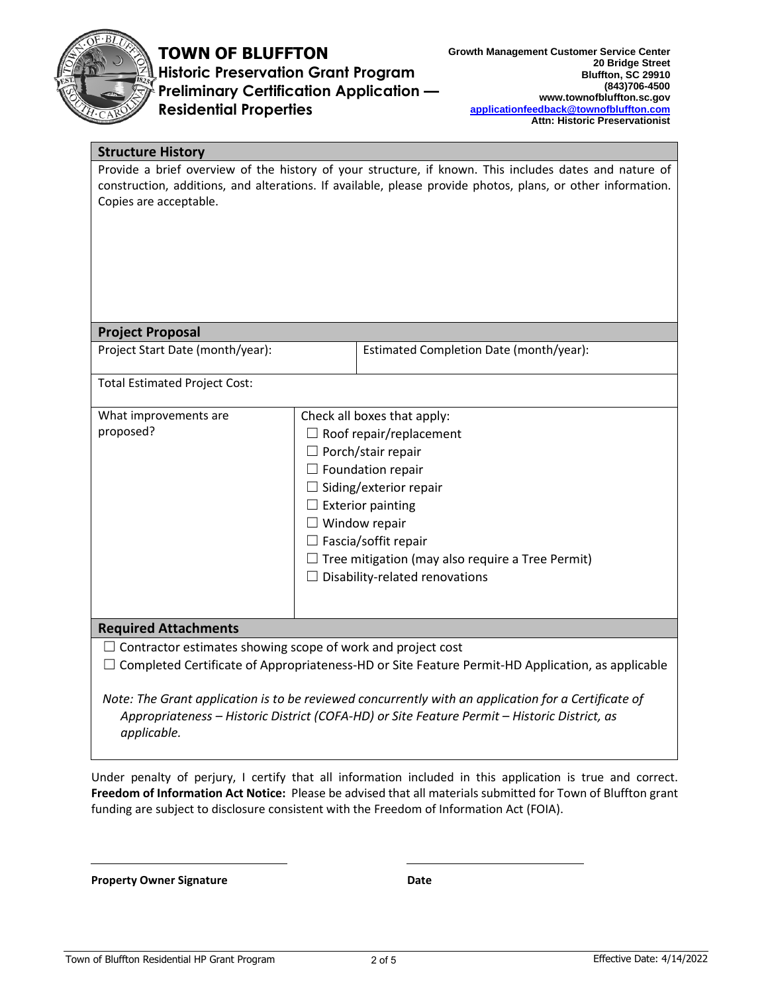

# **TOWN OF BLUFFTON**

**Historic Preservation Grant Program Preliminary Certification Application — Residential Properties**

| <b>Structure History</b>                                                                          |                                                                                                                                                                                                                                                                                                                                                |                                                                                                                                                                                                                       |
|---------------------------------------------------------------------------------------------------|------------------------------------------------------------------------------------------------------------------------------------------------------------------------------------------------------------------------------------------------------------------------------------------------------------------------------------------------|-----------------------------------------------------------------------------------------------------------------------------------------------------------------------------------------------------------------------|
| Copies are acceptable.                                                                            |                                                                                                                                                                                                                                                                                                                                                | Provide a brief overview of the history of your structure, if known. This includes dates and nature of<br>construction, additions, and alterations. If available, please provide photos, plans, or other information. |
| <b>Project Proposal</b>                                                                           |                                                                                                                                                                                                                                                                                                                                                |                                                                                                                                                                                                                       |
| Project Start Date (month/year):                                                                  |                                                                                                                                                                                                                                                                                                                                                | Estimated Completion Date (month/year):                                                                                                                                                                               |
| <b>Total Estimated Project Cost:</b>                                                              |                                                                                                                                                                                                                                                                                                                                                |                                                                                                                                                                                                                       |
| What improvements are<br>proposed?                                                                | Check all boxes that apply:<br>$\Box$ Roof repair/replacement<br>$\Box$ Porch/stair repair<br>$\Box$ Foundation repair<br>$\Box$ Siding/exterior repair<br>$\Box$ Exterior painting<br>$\Box$ Window repair<br>$\Box$ Fascia/soffit repair<br>$\Box$ Tree mitigation (may also require a Tree Permit)<br>$\Box$ Disability-related renovations |                                                                                                                                                                                                                       |
| <b>Required Attachments</b><br>$\Box$ Contractor estimates showing scope of work and project cost |                                                                                                                                                                                                                                                                                                                                                | $\Box$ Completed Certificate of Appropriateness-HD or Site Feature Permit-HD Application, as applicable<br>Note: The Grant application is to be reviewed concurrently with an application for a Certificate of        |
| applicable.                                                                                       |                                                                                                                                                                                                                                                                                                                                                | Appropriateness - Historic District (COFA-HD) or Site Feature Permit - Historic District, as                                                                                                                          |

Under penalty of perjury, I certify that all information included in this application is true and correct. **Freedom of Information Act Notice:** Please be advised that all materials submitted for Town of Bluffton grant funding are subject to disclosure consistent with the Freedom of Information Act (FOIA).

**Property Owner Signature Date**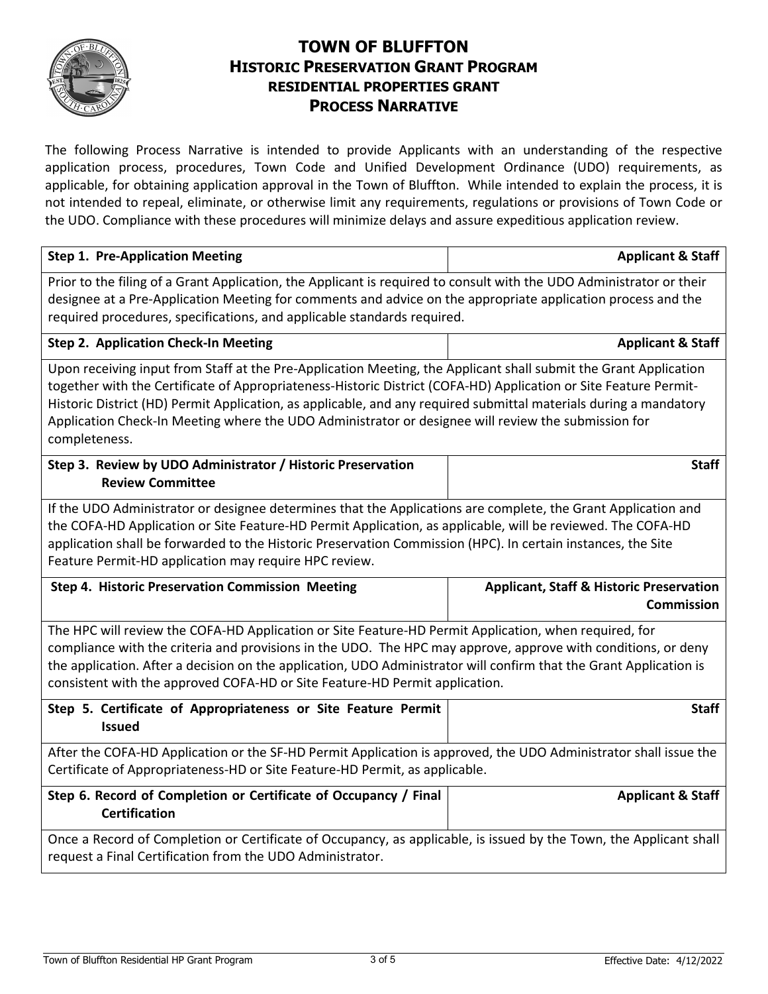

## **TOWN OF BLUFFTON HISTORIC PRESERVATION GRANT PROGRAM RESIDENTIAL PROPERTIES GRANT PROCESS NARRATIVE**

The following Process Narrative is intended to provide Applicants with an understanding of the respective application process, procedures, Town Code and Unified Development Ordinance (UDO) requirements, as applicable, for obtaining application approval in the Town of Bluffton. While intended to explain the process, it is not intended to repeal, eliminate, or otherwise limit any requirements, regulations or provisions of Town Code or the UDO. Compliance with these procedures will minimize delays and assure expeditious application review.

| <b>Step 1. Pre-Application Meeting</b>                                                                                                                                                                                                                                                                                                                                                                                                                                            | <b>Applicant &amp; Staff</b>                                             |  |  |  |
|-----------------------------------------------------------------------------------------------------------------------------------------------------------------------------------------------------------------------------------------------------------------------------------------------------------------------------------------------------------------------------------------------------------------------------------------------------------------------------------|--------------------------------------------------------------------------|--|--|--|
| Prior to the filing of a Grant Application, the Applicant is required to consult with the UDO Administrator or their<br>designee at a Pre-Application Meeting for comments and advice on the appropriate application process and the<br>required procedures, specifications, and applicable standards required.                                                                                                                                                                   |                                                                          |  |  |  |
| <b>Step 2. Application Check-In Meeting</b>                                                                                                                                                                                                                                                                                                                                                                                                                                       | <b>Applicant &amp; Staff</b>                                             |  |  |  |
| Upon receiving input from Staff at the Pre-Application Meeting, the Applicant shall submit the Grant Application<br>together with the Certificate of Appropriateness-Historic District (COFA-HD) Application or Site Feature Permit-<br>Historic District (HD) Permit Application, as applicable, and any required submittal materials during a mandatory<br>Application Check-In Meeting where the UDO Administrator or designee will review the submission for<br>completeness. |                                                                          |  |  |  |
| Step 3. Review by UDO Administrator / Historic Preservation<br><b>Review Committee</b>                                                                                                                                                                                                                                                                                                                                                                                            | <b>Staff</b>                                                             |  |  |  |
| If the UDO Administrator or designee determines that the Applications are complete, the Grant Application and<br>the COFA-HD Application or Site Feature-HD Permit Application, as applicable, will be reviewed. The COFA-HD<br>application shall be forwarded to the Historic Preservation Commission (HPC). In certain instances, the Site<br>Feature Permit-HD application may require HPC review.                                                                             |                                                                          |  |  |  |
| Step 4. Historic Preservation Commission Meeting                                                                                                                                                                                                                                                                                                                                                                                                                                  | <b>Applicant, Staff &amp; Historic Preservation</b><br><b>Commission</b> |  |  |  |
| The HPC will review the COFA-HD Application or Site Feature-HD Permit Application, when required, for<br>compliance with the criteria and provisions in the UDO. The HPC may approve, approve with conditions, or deny<br>the application. After a decision on the application, UDO Administrator will confirm that the Grant Application is<br>consistent with the approved COFA-HD or Site Feature-HD Permit application.                                                       |                                                                          |  |  |  |
| Step 5. Certificate of Appropriateness or Site Feature Permit<br><b>Issued</b>                                                                                                                                                                                                                                                                                                                                                                                                    | <b>Staff</b>                                                             |  |  |  |
| After the COFA-HD Application or the SF-HD Permit Application is approved, the UDO Administrator shall issue the<br>Certificate of Appropriateness-HD or Site Feature-HD Permit, as applicable.                                                                                                                                                                                                                                                                                   |                                                                          |  |  |  |
| Step 6. Record of Completion or Certificate of Occupancy / Final<br><b>Certification</b>                                                                                                                                                                                                                                                                                                                                                                                          | <b>Applicant &amp; Staff</b>                                             |  |  |  |
| Once a Record of Completion or Certificate of Occupancy, as applicable, is issued by the Town, the Applicant shall<br>request a Final Certification from the UDO Administrator.                                                                                                                                                                                                                                                                                                   |                                                                          |  |  |  |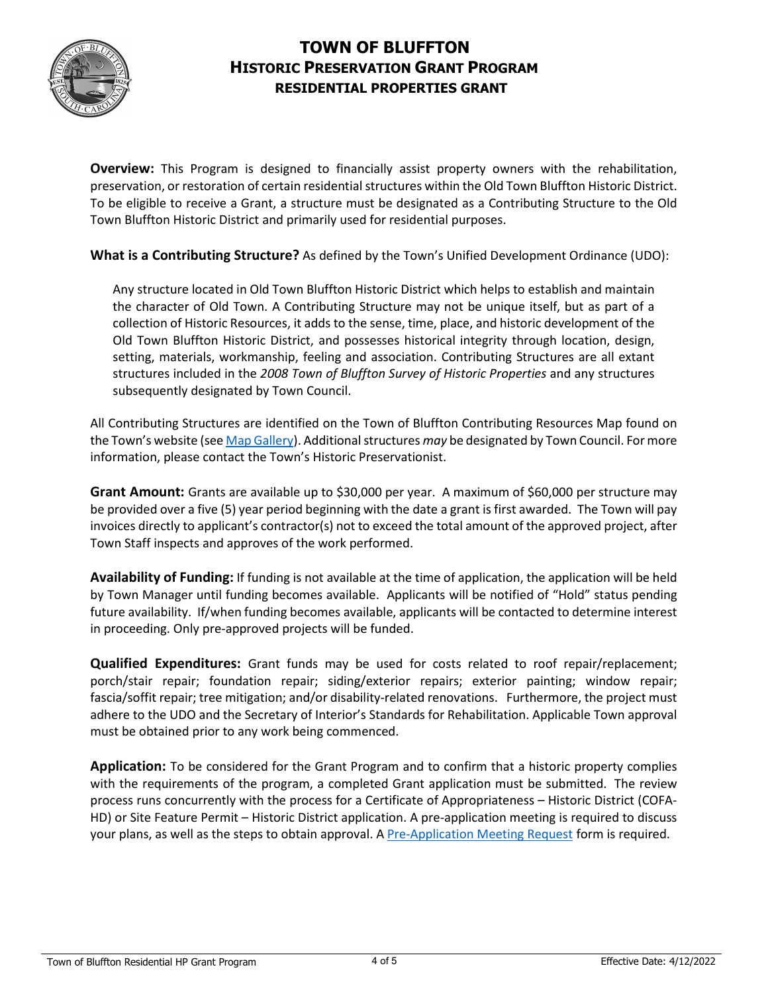

### **TOWN OF BLUFFTON HISTORIC PRESERVATION GRANT PROGRAM RESIDENTIAL PROPERTIES GRANT**

**Overview:** This Program is designed to financially assist property owners with the rehabilitation, preservation, or restoration of certain residential structures within the Old Town Bluffton Historic District. To be eligible to receive a Grant, a structure must be designated as a Contributing Structure to the Old Town Bluffton Historic District and primarily used for residential purposes.

**What is a Contributing Structure?** As defined by the Town's Unified Development Ordinance (UDO):

Any structure located in Old Town Bluffton Historic District which helps to establish and maintain the character of Old Town. A Contributing Structure may not be unique itself, but as part of a collection of Historic Resources, it adds to the sense, time, place, and historic development of the Old Town Bluffton Historic District, and possesses historical integrity through location, design, setting, materials, workmanship, feeling and association. Contributing Structures are all extant structures included in the *2008 Town of Bluffton Survey of Historic Properties* and any structures subsequently designated by Town Council.

All Contributing Structures are identified on the Town of Bluffton Contributing Resources Map found on the Town's website (se[e Map Gallery\)](https://www.townofbluffton.sc.gov/686/Map-Gallery). Additional structures *may* be designated by Town Council. For more information, please contact the Town's Historic Preservationist.

**Grant Amount:** Grants are available up to \$30,000 per year. A maximum of \$60,000 per structure may be provided over a five (5) year period beginning with the date a grant is first awarded. The Town will pay invoices directly to applicant's contractor(s) not to exceed the total amount of the approved project, after Town Staff inspects and approves of the work performed.

**Availability of Funding:** If funding is not available at the time of application, the application will be held by Town Manager until funding becomes available. Applicants will be notified of "Hold" status pending future availability. If/when funding becomes available, applicants will be contacted to determine interest in proceeding. Only pre-approved projects will be funded.

**Qualified Expenditures:** Grant funds may be used for costs related to roof repair/replacement; porch/stair repair; foundation repair; siding/exterior repairs; exterior painting; window repair; fascia/soffit repair; tree mitigation; and/or disability-related renovations. Furthermore, the project must adhere to the UDO and the Secretary of Interior's Standards for Rehabilitation. Applicable Town approval must be obtained prior to any work being commenced.

**Application:** To be considered for the Grant Program and to confirm that a historic property complies with the requirements of the program, a completed Grant application must be submitted. The review process runs concurrently with the process for a Certificate of Appropriateness – Historic District (COFA-HD) or Site Feature Permit – Historic District application. A pre-application meeting is required to discuss your plans, as well as the steps to obtain approval. A [Pre-Application Meeting Request](https://www.townofbluffton.sc.gov/DocumentCenter/View/1352/Pre-Application-Meeting-Request) form is required.